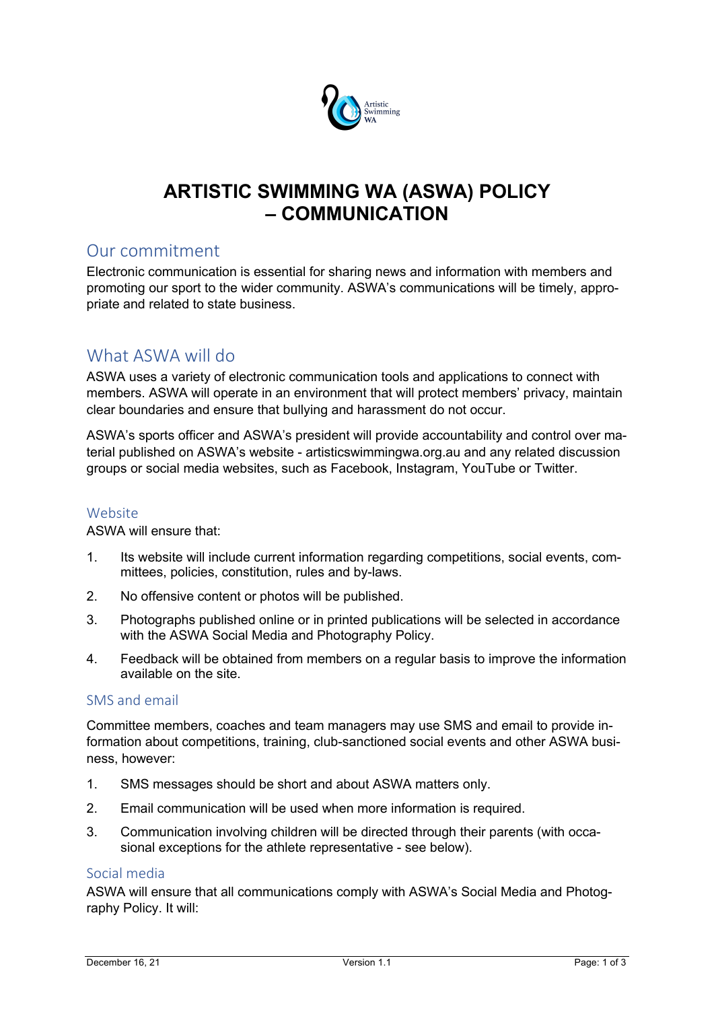

# **ARTISTIC SWIMMING WA (ASWA) POLICY – COMMUNICATION**

## Our commitment

Electronic communication is essential for sharing news and information with members and promoting our sport to the wider community. ASWA's communications will be timely, appropriate and related to state business.

## What ASWA will do

ASWA uses a variety of electronic communication tools and applications to connect with members. ASWA will operate in an environment that will protect members' privacy, maintain clear boundaries and ensure that bullying and harassment do not occur.

ASWA's sports officer and ASWA's president will provide accountability and control over material published on ASWA's website - artisticswimmingwa.org.au and any related discussion groups or social media websites, such as Facebook, Instagram, YouTube or Twitter.

#### Website

ASWA will ensure that:

- 1. Its website will include current information regarding competitions, social events, committees, policies, constitution, rules and by-laws.
- 2. No offensive content or photos will be published.
- 3. Photographs published online or in printed publications will be selected in accordance with the ASWA Social Media and Photography Policy.
- 4. Feedback will be obtained from members on a regular basis to improve the information available on the site.

#### SMS and email

Committee members, coaches and team managers may use SMS and email to provide information about competitions, training, club-sanctioned social events and other ASWA business, however:

- 1. SMS messages should be short and about ASWA matters only.
- 2. Email communication will be used when more information is required.
- 3. Communication involving children will be directed through their parents (with occasional exceptions for the athlete representative - see below).

### Social media

ASWA will ensure that all communications comply with ASWA's Social Media and Photography Policy. It will: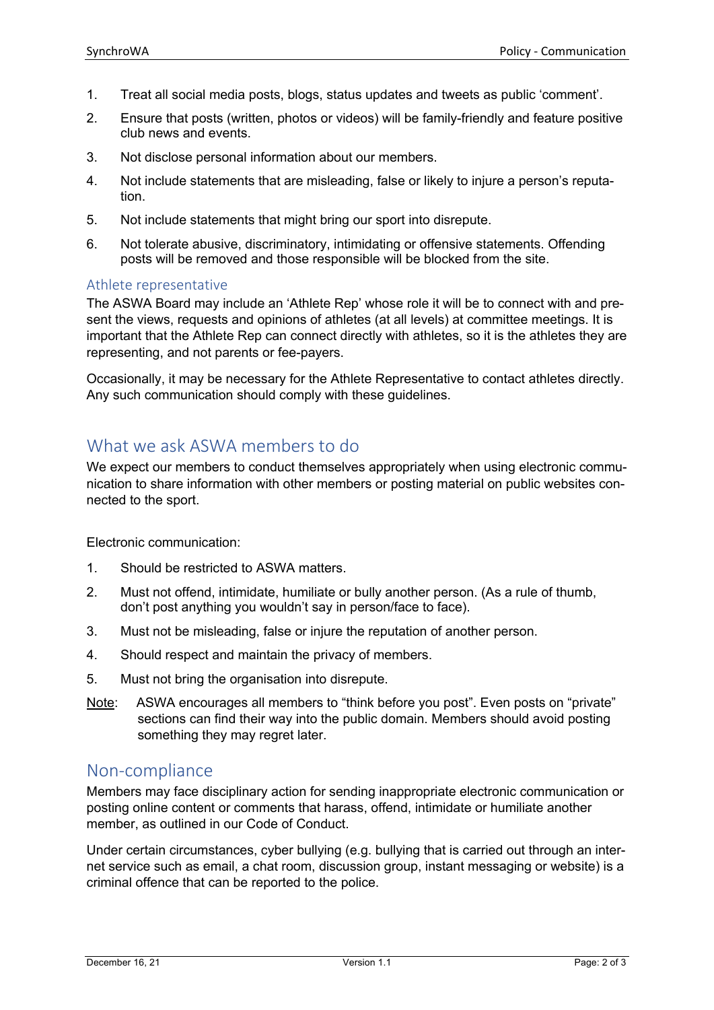- 1. Treat all social media posts, blogs, status updates and tweets as public 'comment'.
- 2. Ensure that posts (written, photos or videos) will be family-friendly and feature positive club news and events.
- 3. Not disclose personal information about our members.
- 4. Not include statements that are misleading, false or likely to injure a person's reputation.
- 5. Not include statements that might bring our sport into disrepute.
- 6. Not tolerate abusive, discriminatory, intimidating or offensive statements. Offending posts will be removed and those responsible will be blocked from the site.

#### Athlete representative

The ASWA Board may include an 'Athlete Rep' whose role it will be to connect with and present the views, requests and opinions of athletes (at all levels) at committee meetings. It is important that the Athlete Rep can connect directly with athletes, so it is the athletes they are representing, and not parents or fee-payers.

Occasionally, it may be necessary for the Athlete Representative to contact athletes directly. Any such communication should comply with these guidelines.

## What we ask ASWA members to do

We expect our members to conduct themselves appropriately when using electronic communication to share information with other members or posting material on public websites connected to the sport.

Electronic communication:

- 1. Should be restricted to ASWA matters.
- 2. Must not offend, intimidate, humiliate or bully another person. (As a rule of thumb, don't post anything you wouldn't say in person/face to face).
- 3. Must not be misleading, false or injure the reputation of another person.
- 4. Should respect and maintain the privacy of members.
- 5. Must not bring the organisation into disrepute.
- Note: ASWA encourages all members to "think before you post". Even posts on "private" sections can find their way into the public domain. Members should avoid posting something they may regret later.

## Non-compliance

Members may face disciplinary action for sending inappropriate electronic communication or posting online content or comments that harass, offend, intimidate or humiliate another member, as outlined in our Code of Conduct.

Under certain circumstances, cyber bullying (e.g. bullying that is carried out through an internet service such as email, a chat room, discussion group, instant messaging or website) is a criminal offence that can be reported to the police.